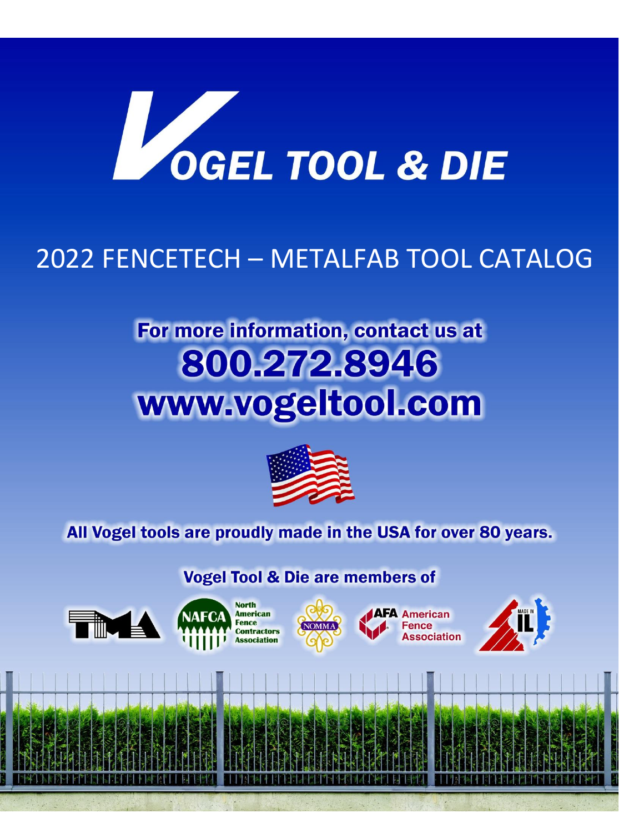

## 2022 FENCETECH – METALFAB TOOL CATALOG

# For more information, contact us at 800.272.8946 www.vogeltool.com



### All Vogel tools are proudly made in the USA for over 80 years.

**Vogel Tool & Die are members of** 







[Grab your reader's attention with a great quote from the document or use this space to

**AFA American** Fence **Association** 

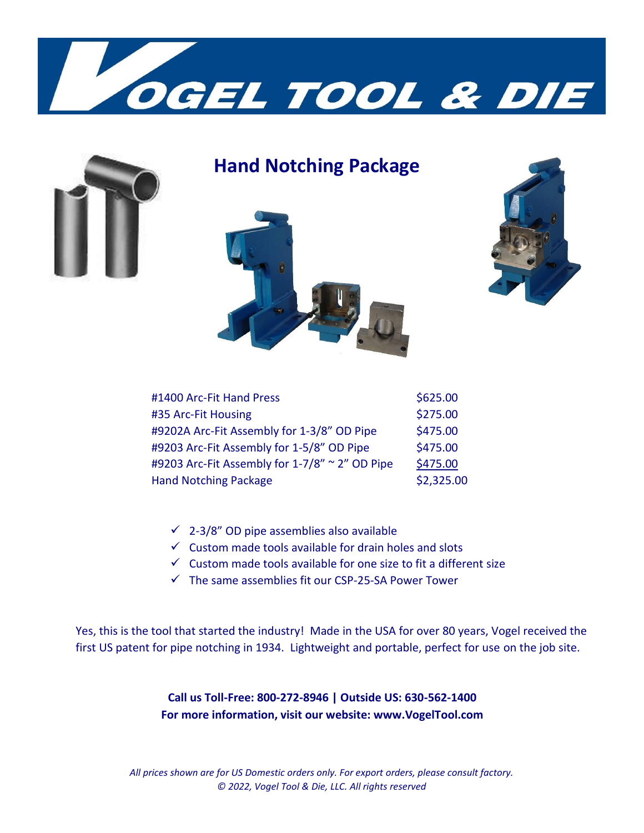



### **Hand Notching Package**





| #1400 Arc-Fit Hand Press                       | \$625.00   |
|------------------------------------------------|------------|
| #35 Arc-Fit Housing                            | \$275.00   |
| #9202A Arc-Fit Assembly for 1-3/8" OD Pipe     | \$475.00   |
| #9203 Arc-Fit Assembly for 1-5/8" OD Pipe      | \$475.00   |
| #9203 Arc-Fit Assembly for 1-7/8" ~ 2" OD Pipe | \$475.00   |
| <b>Hand Notching Package</b>                   | \$2,325.00 |

- $\checkmark$  2-3/8" OD pipe assemblies also available
- $\checkmark$  Custom made tools available for drain holes and slots
- $\checkmark$  Custom made tools available for one size to fit a different size
- $\checkmark$  The same assemblies fit our CSP-25-SA Power Tower

Yes, this is the tool that started the industry! Made in the USA for over 80 years, Vogel received the first US patent for pipe notching in 1934. Lightweight and portable, perfect for use on the job site.

> **Call us Toll-Free: 800-272-8946 | Outside US: 630-562-1400 For more information, visit our website: www.VogelTool.com**

*All prices shown are for US Domestic orders only. For export orders, please consult factory. © 2022, Vogel Tool & Die, LLC. All rights reserved*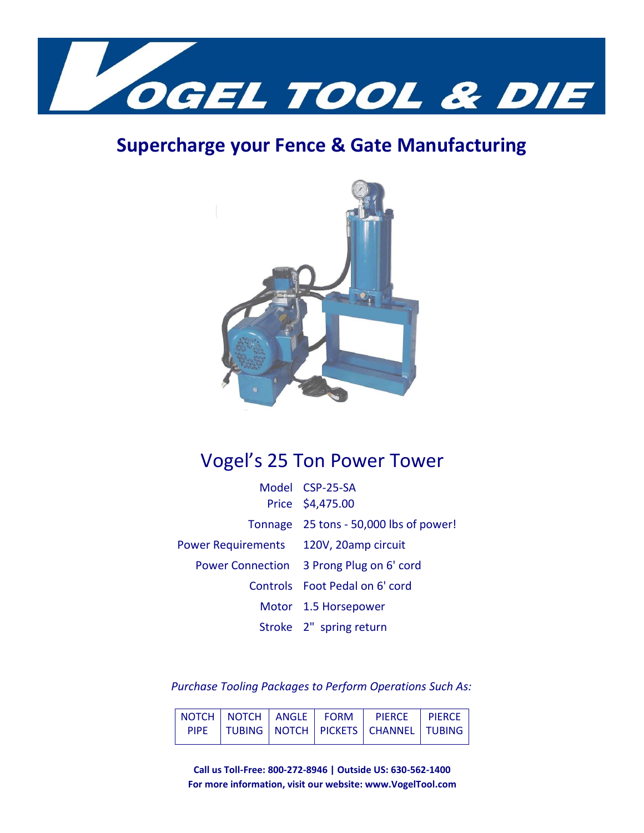

### **Supercharge your Fence & Gate Manufacturing**



### Vogel's 25 Ton Power Tower

|                                        | Model CSP-25-SA                          |
|----------------------------------------|------------------------------------------|
|                                        | Price \$4,475.00                         |
|                                        | Tonnage 25 tons - 50,000 lbs of power!   |
| Power Requirements 120V, 20amp circuit |                                          |
|                                        | Power Connection 3 Prong Plug on 6' cord |
|                                        | Controls Foot Pedal on 6' cord           |
|                                        | Motor 1.5 Horsepower                     |
|                                        | Stroke 2" spring return                  |

*Purchase Tooling Packages to Perform Operations Such As:*

|  |  | NOTCH NOTCH   ANGLE   FORM   PIERCE   PIERCE       |  |
|--|--|----------------------------------------------------|--|
|  |  | PIPE   TUBING   NOTCH   PICKETS   CHANNEL   TUBING |  |

**Call us Toll-Free: 800-272-8946 | Outside US: 630-562-1400 For more information, visit our website: www.VogelTool.com**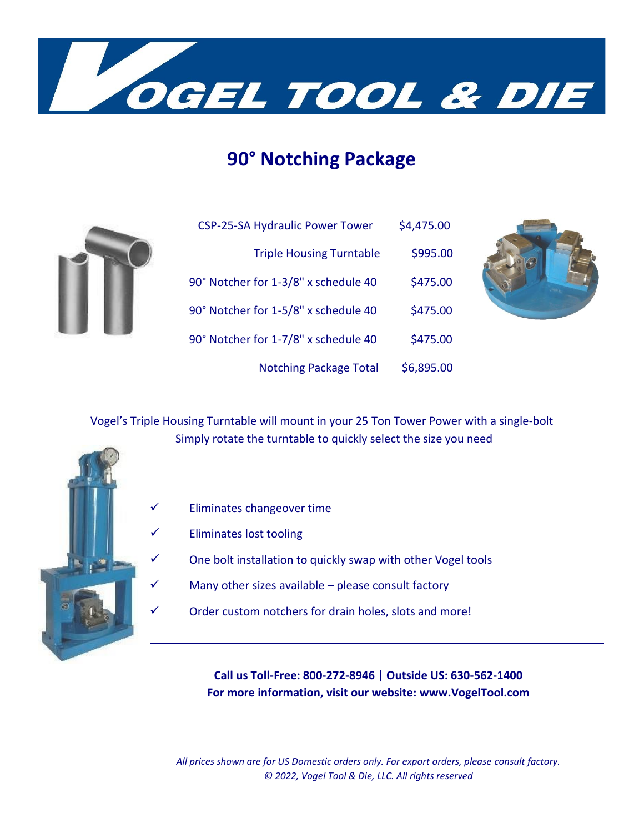

### **90° Notching Package**

| <b>CSP-25-SA Hydraulic Power Tower</b> | \$4,475.00 |
|----------------------------------------|------------|
| <b>Triple Housing Turntable</b>        | \$995.00   |
| 90° Notcher for 1-3/8" x schedule 40   | \$475.00   |
| 90° Notcher for 1-5/8" x schedule 40   | \$475.00   |
| 90° Notcher for 1-7/8" x schedule 40   | \$475.00   |
| <b>Notching Package Total</b>          | \$6,895.00 |



Vogel's Triple Housing Turntable will mount in your 25 Ton Tower Power with a single-bolt Simply rotate the turntable to quickly select the size you need



- ✓ Eliminates changeover time
	- Eliminates lost tooling
		- One bolt installation to quickly swap with other Vogel tools
- $\checkmark$  Many other sizes available please consult factory
- $\checkmark$  Order custom notchers for drain holes, slots and more!

**Call us Toll-Free: 800-272-8946 | Outside US: 630-562-1400 For more information, visit our website: www.VogelTool.com**

*All prices shown are for US Domestic orders only. For export orders, please consult factory. © 2022, Vogel Tool & Die, LLC. All rights reserved*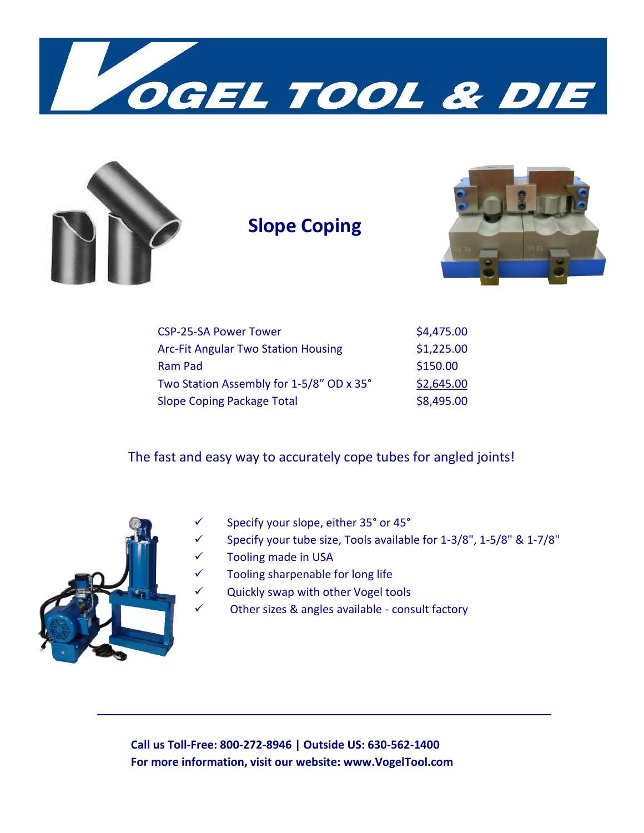



### **Slope Coping**



| <b>CSP-25-SA Power Tower</b>               | \$4,475.00 |
|--------------------------------------------|------------|
| <b>Arc-Fit Angular Two Station Housing</b> | \$1,225.00 |
| Ram Pad                                    | \$150.00   |
| Two Station Assembly for 1-5/8" OD x 35°   | \$2,645.00 |
| Slope Coping Package Total                 | \$8,495.00 |

The fast and easy way to accurately cope tubes for angled joints!



- ✓ Specify your slope, either 35° or 45°
- $\checkmark$  Specify your tube size, Tools available for 1-3/8", 1-5/8" & 1-7/8"
- ✓ Tooling made in USA
- ✓ Tooling sharpenable for long life
- ✓ Quickly swap with other Vogel tools
- $\checkmark$  Other sizes & angles available consult factory

**Call us Toll-Free: 800-272-8946 | Outside US: 630-562-1400 For more information, visit our website: www.VogelTool.com**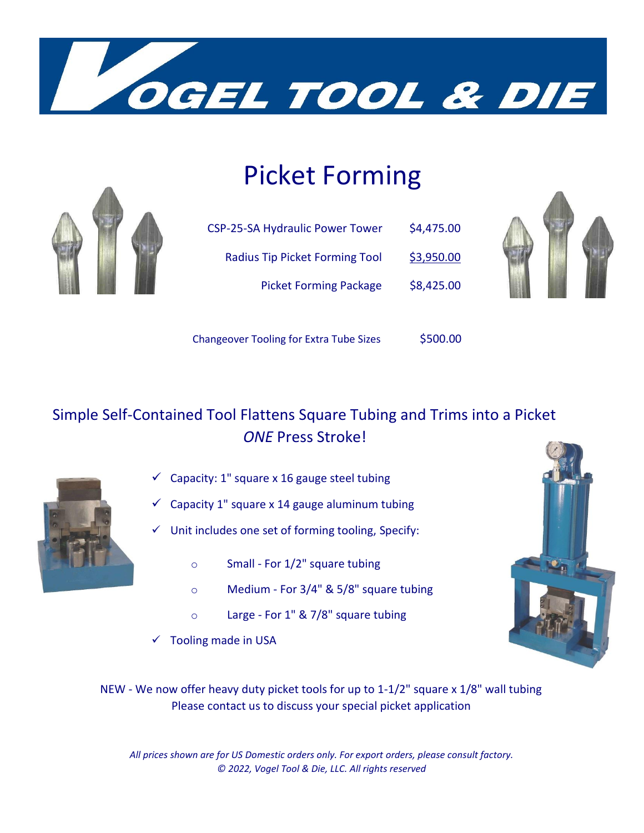

## Picket Forming



| <b>CSP-25-SA Hydraulic Power Tower</b> | \$4,475.00 |
|----------------------------------------|------------|
| <b>Radius Tip Picket Forming Tool</b>  | \$3,950.00 |
| <b>Picket Forming Package</b>          | \$8,425.00 |



Changeover Tooling for Extra Tube Sizes \$500.00

### Simple Self-Contained Tool Flattens Square Tubing and Trims into a Picket  *ONE* Press Stroke!



- $\checkmark$  Capacity: 1" square x 16 gauge steel tubing
- $\checkmark$  Capacity 1" square x 14 gauge aluminum tubing
- Unit includes one set of forming tooling, Specify:
	- o Small For 1/2" square tubing
	- o Medium For 3/4" & 5/8" square tubing
	- o Large For 1" & 7/8" square tubing
- $\checkmark$  Tooling made in USA



NEW - We now offer heavy duty picket tools for up to 1-1/2" square x 1/8" wall tubing Please contact us to discuss your special picket application

*All prices shown are for US Domestic orders only. For export orders, please consult factory. © 2022, Vogel Tool & Die, LLC. All rights reserved*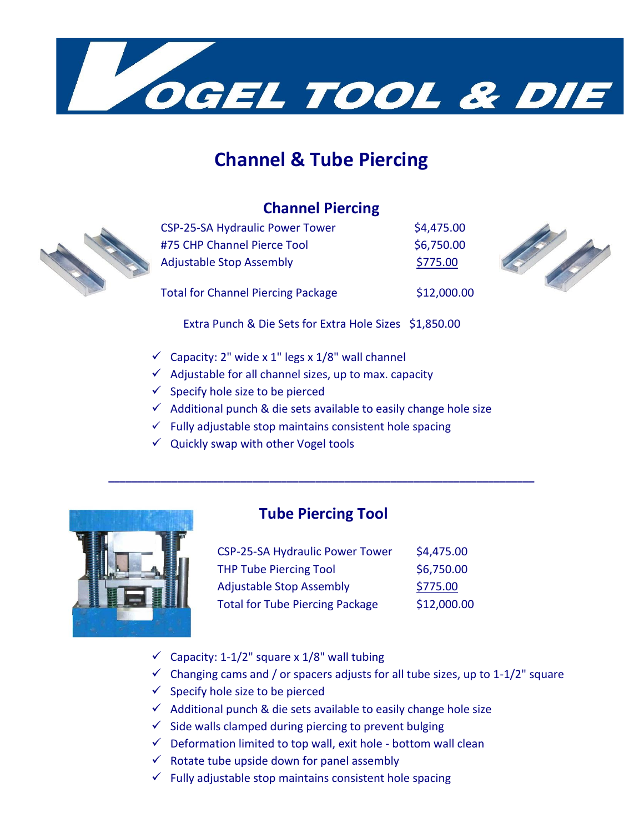

### **Channel & Tube Piercing**

#### **Channel Piercing**



| <b>CSP-25-SA Hydraulic Power Tower</b>    | \$4,475.00  |
|-------------------------------------------|-------------|
| #75 CHP Channel Pierce Tool               | \$6,750.00  |
| <b>Adjustable Stop Assembly</b>           | \$775.00    |
| <b>Total for Channel Piercing Package</b> | \$12,000.00 |



Extra Punch & Die Sets for Extra Hole Sizes \$1,850.00

- $\checkmark$  Capacity: 2" wide x 1" legs x 1/8" wall channel
- $\checkmark$  Adjustable for all channel sizes, up to max. capacity
- $\checkmark$  Specify hole size to be pierced
- $\checkmark$  Additional punch & die sets available to easily change hole size
- $\checkmark$  Fully adjustable stop maintains consistent hole spacing
- $\checkmark$  Quickly swap with other Vogel tools



#### **Tube Piercing Tool**

**\_\_\_\_\_\_\_\_\_\_\_\_\_\_\_\_\_\_\_\_\_\_\_\_\_\_\_\_\_\_\_\_\_\_\_\_\_\_\_\_\_\_\_\_\_\_\_\_\_\_\_\_\_\_\_\_\_\_\_\_\_\_\_\_\_\_\_\_\_\_\_\_\_\_** 

| <b>CSP-25-SA Hydraulic Power Tower</b> | \$4,475.00  |
|----------------------------------------|-------------|
| <b>THP Tube Piercing Tool</b>          | \$6,750.00  |
| <b>Adjustable Stop Assembly</b>        | \$775.00    |
| <b>Total for Tube Piercing Package</b> | \$12,000.00 |

- $\checkmark$  Capacity: 1-1/2" square x 1/8" wall tubing
- $\checkmark$  Changing cams and / or spacers adjusts for all tube sizes, up to 1-1/2" square
- $\checkmark$  Specify hole size to be pierced
- $\checkmark$  Additional punch & die sets available to easily change hole size
- $\checkmark$  Side walls clamped during piercing to prevent bulging
- $\checkmark$  Deformation limited to top wall, exit hole bottom wall clean
- $\checkmark$  Rotate tube upside down for panel assembly
- $\checkmark$  Fully adjustable stop maintains consistent hole spacing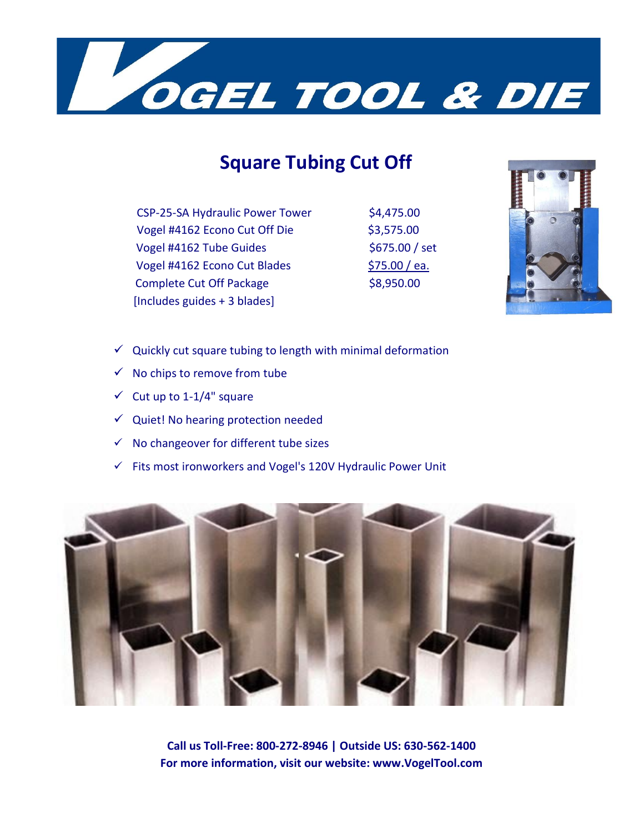

### **Square Tubing Cut Off**

CSP-25-SA Hydraulic Power Tower \$4,475.00 Vogel #4162 Econo Cut Off Die \$3,575.00 Vogel #4162 Tube Guides  $$675.00 / set$ Vogel #4162 Econo Cut Blades \$75.00 / ea. Complete Cut Off Package \$8,950.00 [Includes guides + 3 blades]



- $\checkmark$  Quickly cut square tubing to length with minimal deformation
- $\checkmark$  No chips to remove from tube
- $\checkmark$  Cut up to 1-1/4" square
- $\checkmark$  Quiet! No hearing protection needed
- ✓ No changeover for different tube sizes
- ✓ Fits most ironworkers and Vogel's 120V Hydraulic Power Unit



**Call us Toll-Free: 800-272-8946 | Outside US: 630-562-1400 For more information, visit our website: www.VogelTool.com**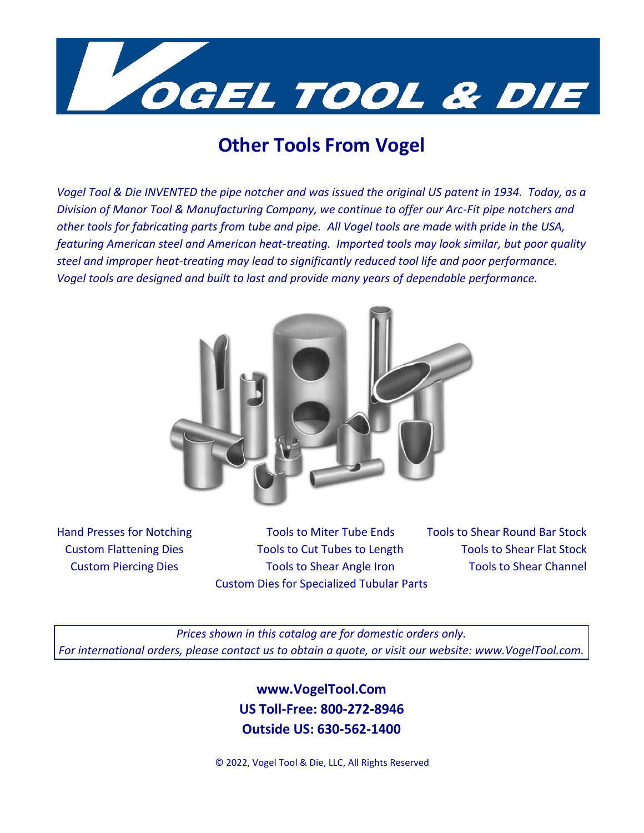

### **Other Tools From Vogel**

*Vogel Tool & Die INVENTED the pipe notcher and was issued the original US patent in 1934. Today, as a Division of Manor Tool & Manufacturing Company, we continue to offer our Arc-Fit pipe notchers and other tools for fabricating parts from tube and pipe. All Vogel tools are made with pride in the USA, featuring American steel and American heat-treating. Imported tools may look similar, but poor quality steel and improper heat-treating may lead to significantly reduced tool life and poor performance. Vogel tools are designed and built to last and provide many years of dependable performance.* 



Hand Presses for Notching Tools to Miter Tube Ends Tools to Shear Round Bar Stock Custom Flattening Dies Tools to Cut Tubes to Length Tools to Shear Flat Stock Custom Piercing Dies Tools to Shear Angle Iron Tools to Shear Channel Custom Dies for Specialized Tubular Parts

*Prices shown in this catalog are for domestic orders only. For international orders, please contact us to obtain a quote, or visit our website: www.VogelTool.com.*

> **www.VogelTool.Com US Toll-Free: 800-272-8946 Outside US: 630-562-1400**

© 2022, Vogel Tool & Die, LLC, All Rights Reserved